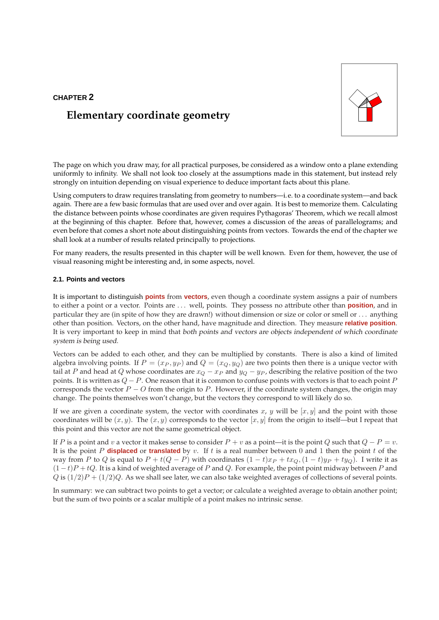# **CHAPTER 2**

# **Elementary coordinate geometry**



The page on which you draw may, for all practical purposes, be considered as a window onto a plane extending uniformly to infinity. We shall not look too closely at the assumptions made in this statement, but instead rely strongly on intuition depending on visual experience to deduce important facts about this plane.

Using computers to draw requires translating from geometry to numbers—i.e. to a coordinate system—and back again. There are a few basic formulas that are used over and over again. It is best to memorize them. Calculating the distance between points whose coordinates are given requires Pythagoras' Theorem, which we recall almost at the beginning of this chapter. Before that, however, comes a discussion of the areas of parallelograms; and even before that comes a short note about distinguishing points from vectors. Towards the end of the chapter we shall look at a number of results related principally to projections.

For many readers, the results presented in this chapter will be well known. Even for them, however, the use of visual reasoning might be interesting and, in some aspects, novel.

## **2.1. Points and vectors**

It is important to distinguish **points** from **vectors**, even though a coordinate system assigns a pair of numbers to either a point or a vector. Points are . . . well, points. They possess no attribute other than **position**, and in particular they are (in spite of how they are drawn!) without dimension or size or color or smell or . . . anything other than position. Vectors, on the other hand, have magnitude and direction. They measure **relative position**. It is very important to keep in mind that both points and vectors are objects independent of which coordinate system is being used.

Vectors can be added to each other, and they can be multiplied by constants. There is also a kind of limited algebra involving points. If  $P = (x_P, y_P)$  and  $Q = (x_Q, y_Q)$  are two points then there is a unique vector with tail at P and head at Q whose coordinates are  $x_Q - x_P$  and  $y_Q - y_P$ , describing the relative position of the two points. It is written as  $Q - P$ . One reason that it is common to confuse points with vectors is that to each point P corresponds the vector  $P - O$  from the origin to P. However, if the coordinate system changes, the origin may change. The points themselves won't change, but the vectors they correspond to will likely do so.

If we are given a coordinate system, the vector with coordinates x, y will be  $[x, y]$  and the point with those coordinates will be  $(x, y)$ . The  $(x, y)$  corresponds to the vector  $[x, y]$  from the origin to itself—but I repeat that this point and this vector are not the same geometrical object.

If P is a point and v a vector it makes sense to consider  $P + v$  as a point—it is the point Q such that  $Q - P = v$ . It is the point P **displaced** or **translated** by v. If t is a real number between 0 and 1 then the point t of the way from P to Q is equal to  $P + t(Q - P)$  with coordinates  $(1-t)x_P + tx_Q$ ,  $(1-t)y_P + ty_Q$ ). I write it as  $(1-t)P+tQ$ . It is a kind of weighted average of P and Q. For example, the point point midway between P and  $Q$  is  $(1/2)P + (1/2)Q$ . As we shall see later, we can also take weighted averages of collections of several points.

In summary: we can subtract two points to get a vector; or calculate a weighted average to obtain another point; but the sum of two points or a scalar multiple of a point makes no intrinsic sense.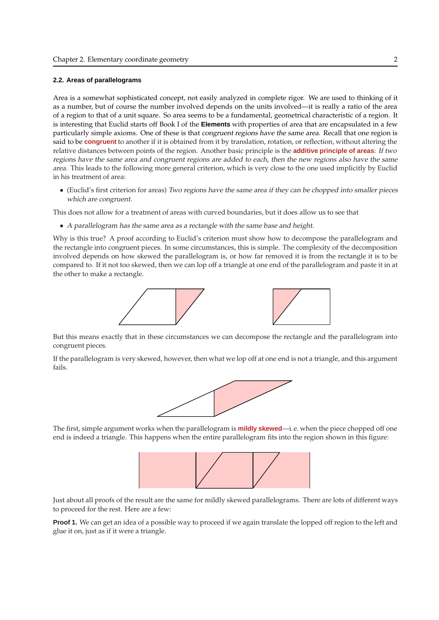#### **2.2. Areas of parallelograms**

Area is a somewhat sophisticated concept, not easily analyzed in complete rigor. We are used to thinking of it as a number, but of course the number involved depends on the units involved—it is really a ratio of the area of a region to that of a unit square. So area seems to be a fundamental, geometrical characteristic of a region. It is interesting that Euclid starts off Book I of the **Elements** with properties of area that are encapsulated in a few particularly simple axioms. One of these is that congruent regions have the same area. Recall that one region is said to be **congruent** to another if it is obtained from it by translation, rotation, or reflection, without altering the relative distances between points of the region. Another basic principle is the **additive principle of areas**: If two regions have the same area and congruent regions are added to each, then the new regions also have the same area. This leads to the following more general criterion, which is very close to the one used implicitly by Euclid in his treatment of area:

• (Euclid's first criterion for areas) Two regions have the same area if they can be chopped into smaller pieces which are congruent.

This does not allow for a treatment of areas with curved boundaries, but it does allow us to see that

• A parallelogram has the same area as a rectangle with the same base and height.

Why is this true? A proof according to Euclid's criterion must show how to decompose the parallelogram and the rectangle into congruent pieces. In some circumstances, this is simple. The complexity of the decomposition involved depends on how skewed the parallelogram is, or how far removed it is from the rectangle it is to be compared to. If it not too skewed, then we can lop off a triangle at one end of the parallelogram and paste it in at the other to make a rectangle.



But this means exactly that in these circumstances we can decompose the rectangle and the parallelogram into congruent pieces.

If the parallelogram is very skewed, however, then what we lop off at one end is not a triangle, and this argument fails.



The first, simple argument works when the parallelogram is **mildly skewed**—i.e. when the piece chopped off one end is indeed a triangle. This happens when the entire parallelogram fits into the region shown in this figure:



Just about all proofs of the result are the same for mildly skewed parallelograms. There are lots of different ways to proceed for the rest. Here are a few:

**Proof 1.** We can get an idea of a possible way to proceed if we again translate the lopped off region to the left and glue it on, just as if it were a triangle.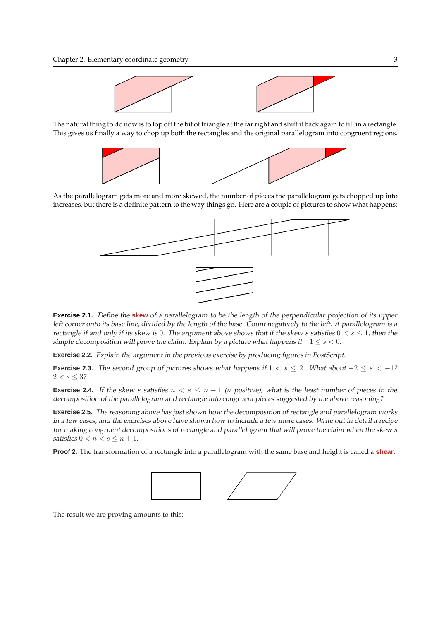

The natural thing to do now is to lop off the bit of triangle at the far right and shift it back again to fill in a rectangle. This gives us finally a way to chop up both the rectangles and the original parallelogram into congruent regions.



As the parallelogram gets more and more skewed, the number of pieces the parallelogram gets chopped up into increases, but there is a definite pattern to the way things go. Here are a couple of pictures to show what happens:



**Exercise 2.1.** Define the **skew** of a parallelogram to be the length of the perpendicular projection of its upper left corner onto its base line, divided by the length of the base. Count negatively to the left. <sup>A</sup> parallelogram is <sup>a</sup> rectangle if and only if its skew is 0. The argument above shows that if the skew s satisfies  $0 < s \leq 1$ , then the simple decomposition will prove the claim. Explain by a picture what happens if  $-1 \le s < 0$ .

**Exercise 2.2.** Explain the argument in the previous exercise by producing figures in PostScript.

**Exercise 2.3.** The second group of pictures shows what happens if  $1 < s \le 2$ . What about  $-2 \le s < -1$ ?  $2 < s \leq 3$ ?

**Exercise 2.4.** If the skew s satisfies  $n < s \le n + 1$  (*n* positive), what is the least number of pieces in the decomposition of the parallelogram and rectangle into congruent pieces suggested by the above reasoning?

**Exercise 2.5.** The reasoning above has just shown how the decomposition of rectangle and parallelogram works in <sup>a</sup> few cases, and the exercises above have shown how to include <sup>a</sup> few more cases. Write out in detail <sup>a</sup> recipe for making congruent decompositions of rectangle and parallelogram that will prove the claim when the skew s satisfies  $0 < n < s \leq n + 1$ .

**Proof 2.** The transformation of a rectangle into a parallelogram with the same base and height is called a **shear**.



The result we are proving amounts to this: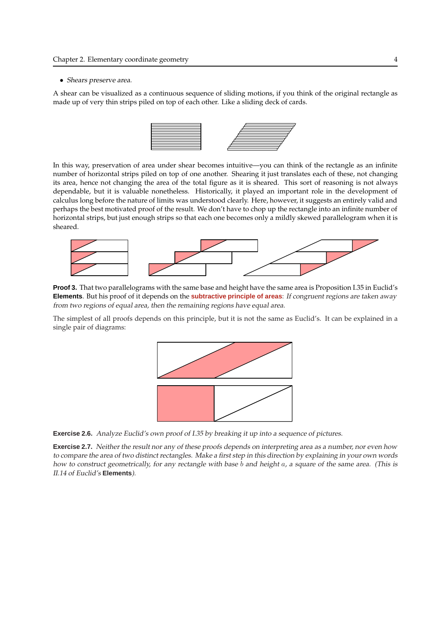#### • Shears preserve area.

A shear can be visualized as a continuous sequence of sliding motions, if you think of the original rectangle as made up of very thin strips piled on top of each other. Like a sliding deck of cards.



In this way, preservation of area under shear becomes intuitive—you can think of the rectangle as an infinite number of horizontal strips piled on top of one another. Shearing it just translates each of these, not changing its area, hence not changing the area of the total figure as it is sheared. This sort of reasoning is not always dependable, but it is valuable nonetheless. Historically, it played an important role in the development of calculus long before the nature of limits was understood clearly. Here, however, it suggests an entirely valid and perhaps the best motivated proof of the result. We don't have to chop up the rectangle into an infinite number of horizontal strips, but just enough strips so that each one becomes only a mildly skewed parallelogram when it is sheared.



**Proof 3.** That two parallelograms with the same base and height have the same area is Proposition I.35 in Euclid's **Elements**. But his proof of it depends on the **subtractive principle of areas**: If congruent regions are taken away from two regions of equal area, then the remaining regions have equal area.

The simplest of all proofs depends on this principle, but it is not the same as Euclid's. It can be explained in a single pair of diagrams:



**Exercise 2.6.** Analyze Euclid's own proof of I.35 by breaking it up into a sequence of pictures.

**Exercise 2.7.** Neither the result nor any of these proofs depends on interpreting area as a number, nor even how to compare the area of two distinct rectangles. Make <sup>a</sup> first step in this direction by explaining in your own words how to construct geometrically, for any rectangle with base  $\bar{b}$  and height a, a square of the same area. (This is II.14 of Euclid's **Elements**).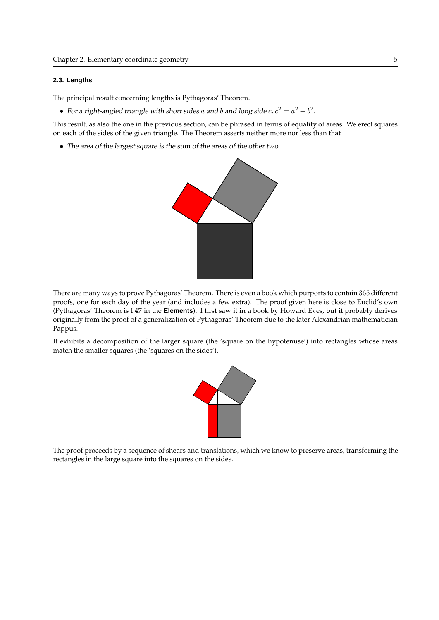#### **2.3. Lengths**

The principal result concerning lengths is Pythagoras' Theorem.

• For a right-angled triangle with short sides  $a$  and  $b$  and long side  $c$ ,  $c^2 = a^2 + b^2$ .

This result, as also the one in the previous section, can be phrased in terms of equality of areas. We erect squares on each of the sides of the given triangle. The Theorem asserts neither more nor less than that

• The area of the largest square is the sum of the areas of the other two.



There are many ways to prove Pythagoras' Theorem. There is even a book which purports to contain 365 different proofs, one for each day of the year (and includes a few extra). The proof given here is close to Euclid's own (Pythagoras' Theorem is I.47 in the **Elements**). I first saw it in a book by Howard Eves, but it probably derives originally from the proof of a generalization of Pythagoras' Theorem due to the later Alexandrian mathematician Pappus.

It exhibits a decomposition of the larger square (the 'square on the hypotenuse') into rectangles whose areas match the smaller squares (the 'squares on the sides').



The proof proceeds by a sequence of shears and translations, which we know to preserve areas, transforming the rectangles in the large square into the squares on the sides.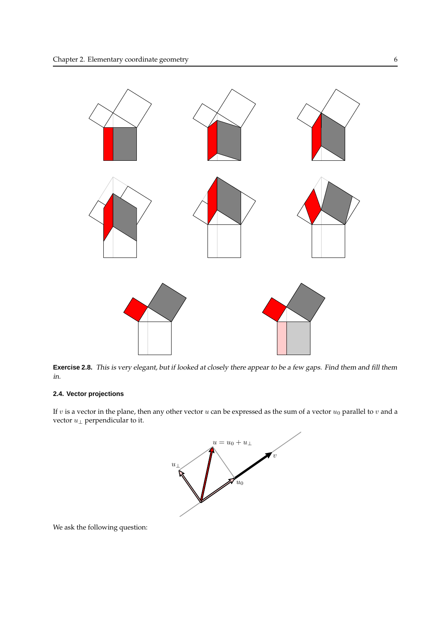

**Exercise 2.8.** This is very elegant, but if looked at closely there appear to be <sup>a</sup> few gaps. Find them and fill them in.

## **2.4. Vector projections**

If  $v$  is a vector in the plane, then any other vector  $u$  can be expressed as the sum of a vector  $u_0$  parallel to  $v$  and a vector  $u_\perp$  perpendicular to it.



We ask the following question: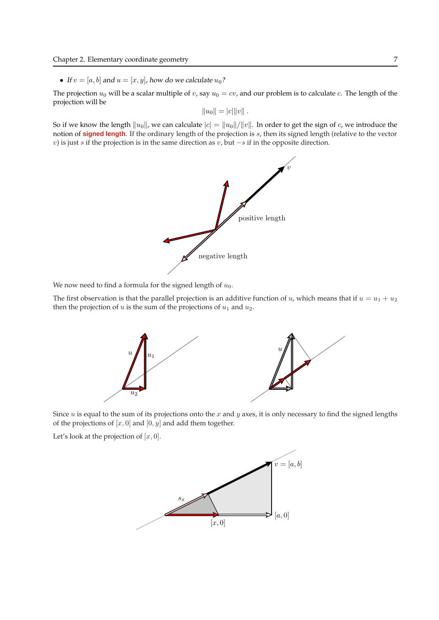• If  $v = [a, b]$  and  $u = [x, y]$ , how do we calculate  $u_0$ ?

The projection  $u_0$  will be a scalar multiple of v, say  $u_0 = cv$ , and our problem is to calculate c. The length of the projection will be

$$
||u_0|| = |c| ||v||.
$$

So if we know the length  $||u_0||$ , we can calculate  $|c| = ||u_0||/||v||$ . In order to get the sign of c, we introduce the notion of **signed length**. If the ordinary length of the projection is s, then its signed length (relative to the vector v) is just s if the projection is in the same direction as v, but  $-s$  if in the opposite direction.



We now need to find a formula for the signed length of  $u_0$ .

The first observation is that the parallel projection is an additive function of u, which means that if  $u = u_1 + u_2$ then the projection of u is the sum of the projections of  $u_1$  and  $u_2$ .



Since  $u$  is equal to the sum of its projections onto the  $x$  and  $y$  axes, it is only necessary to find the signed lengths of the projections of  $[x, 0]$  and  $[0, y]$  and add them together.

Let's look at the projection of  $[x, 0]$ .

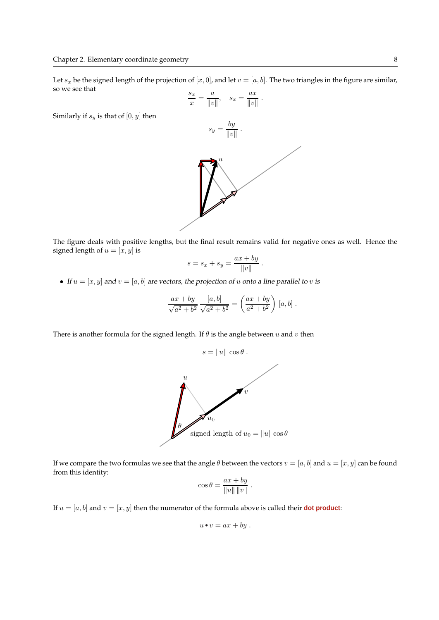Let  $s_x$  be the signed length of the projection of  $[x, 0]$ , and let  $v = [a, b]$ . The two triangles in the figure are similar, so we see that

$$
\frac{s_x}{x} = \frac{a}{\|v\|}, \quad s_x = \frac{ax}{\|v\|}
$$

Similarly if  $s_y$  is that of  $[0, y]$  then



.

The figure deals with positive lengths, but the final result remains valid for negative ones as well. Hence the signed length of  $u = [x, y]$  is

$$
s = s_x + s_y = \frac{ax + by}{\|v\|}.
$$

• If  $u = [x, y]$  and  $v = [a, b]$  are vectors, the projection of u onto a line parallel to v is

$$
\frac{ax + by}{\sqrt{a^2 + b^2}} \frac{[a, b]}{\sqrt{a^2 + b^2}} = \left(\frac{ax + by}{a^2 + b^2}\right) [a, b].
$$

There is another formula for the signed length. If  $\theta$  is the angle between u and v then



If we compare the two formulas we see that the angle  $\theta$  between the vectors  $v = [a, b]$  and  $u = [x, y]$  can be found from this identity:

$$
\cos \theta = \frac{ax + by}{\|u\| \|v\|}.
$$

If  $u = [a, b]$  and  $v = [x, y]$  then the numerator of the formula above is called their **dot product**:

$$
u \bullet v = ax + by \ .
$$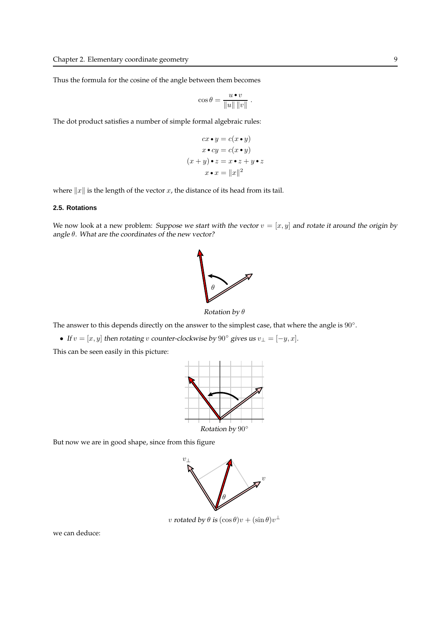Thus the formula for the cosine of the angle between them becomes

$$
\cos \theta = \frac{u \bullet v}{\|u\| \|v\|}
$$

.

The dot product satisfies a number of simple formal algebraic rules:

$$
cx \bullet y = c(x \bullet y)
$$

$$
x \bullet cy = c(x \bullet y)
$$

$$
(x + y) \bullet z = x \bullet z + y \bullet z
$$

$$
x \bullet x = ||x||^2
$$

where  $||x||$  is the length of the vector  $x$ , the distance of its head from its tail.

## **2.5. Rotations**

We now look at a new problem: Suppose we start with the vector  $v = [x, y]$  and rotate it around the origin by angle  $\theta$ . What are the coordinates of the new vector?



Rotation by  $\theta$ 

The answer to this depends directly on the answer to the simplest case, that where the angle is  $90^{\circ}$ .

• If  $v = [x, y]$  then rotating v counter-clockwise by 90° gives us  $v_{\perp} = [-y, x]$ .

This can be seen easily in this picture:



But now we are in good shape, since from this figure



v rotated by  $\theta$  is  $(\cos \theta)v + (\sin \theta)v^{\perp}$ 

we can deduce: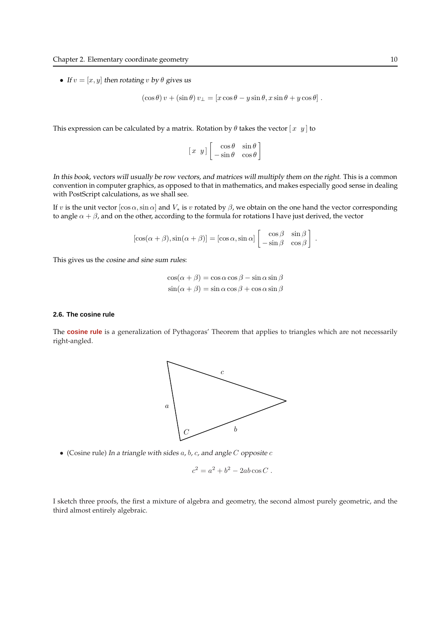• If  $v = [x, y]$  then rotating v by  $\theta$  gives us

$$
(\cos \theta)v + (\sin \theta)v_{\perp} = [x \cos \theta - y \sin \theta, x \sin \theta + y \cos \theta].
$$

This expression can be calculated by a matrix. Rotation by  $\theta$  takes the vector  $\begin{bmatrix} x & y \end{bmatrix}$  to

$$
\begin{bmatrix} x & y \end{bmatrix} \begin{bmatrix} \cos \theta & \sin \theta \\ -\sin \theta & \cos \theta \end{bmatrix}
$$

In this book, vectors will usually be row vectors, and matrices will multiply them on the right. This is a common convention in computer graphics, as opposed to that in mathematics, and makes especially good sense in dealing with PostScript calculations, as we shall see.

If v is the unit vector  $[\cos \alpha, \sin \alpha]$  and  $V_*$  is v rotated by  $\beta$ , we obtain on the one hand the vector corresponding to angle  $\alpha + \beta$ , and on the other, according to the formula for rotations I have just derived, the vector

$$
[\cos(\alpha+\beta),\sin(\alpha+\beta)] = [\cos\alpha,\sin\alpha] \begin{bmatrix} \cos\beta & \sin\beta \\ -\sin\beta & \cos\beta \end{bmatrix}.
$$

This gives us the cosine and sine sum rules:

$$
\cos(\alpha + \beta) = \cos \alpha \cos \beta - \sin \alpha \sin \beta
$$
  

$$
\sin(\alpha + \beta) = \sin \alpha \cos \beta + \cos \alpha \sin \beta
$$

## **2.6. The cosine rule**

The **cosine rule** is a generalization of Pythagoras' Theorem that applies to triangles which are not necessarily right-angled.



• (Cosine rule) In a triangle with sides  $a, b, c$ , and angle  $C$  opposite  $c$ 

$$
c^2 = a^2 + b^2 - 2ab \cos C \; .
$$

I sketch three proofs, the first a mixture of algebra and geometry, the second almost purely geometric, and the third almost entirely algebraic.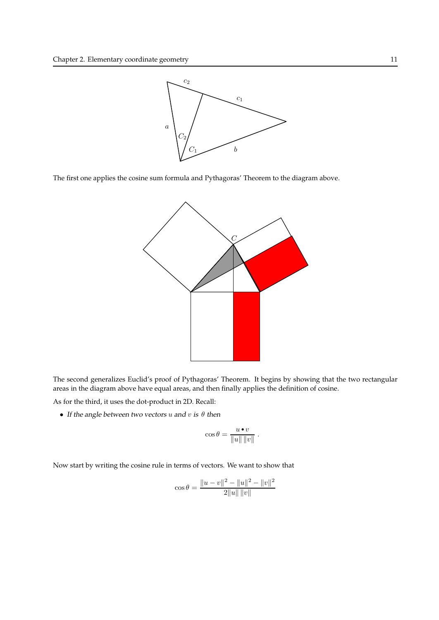

The first one applies the cosine sum formula and Pythagoras' Theorem to the diagram above.



The second generalizes Euclid's proof of Pythagoras' Theorem. It begins by showing that the two rectangular areas in the diagram above have equal areas, and then finally applies the definition of cosine.

As for the third, it uses the dot-product in 2D. Recall:

• If the angle between two vectors  $u$  and  $v$  is  $\theta$  then

$$
\cos \theta = \frac{u \bullet v}{\|u\| \|v\|}
$$

.

Now start by writing the cosine rule in terms of vectors. We want to show that

$$
\cos\theta = \frac{\|u-v\|^2-\|u\|^2-\|v\|^2}{2\|u\|\,\|v\|}
$$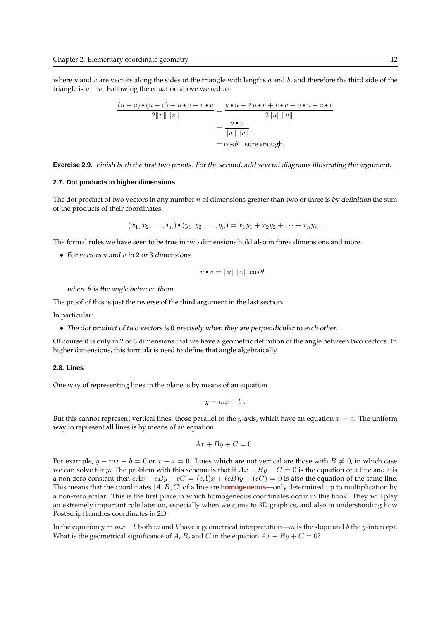where u and v are vectors along the sides of the triangle with lengths a and b, and therefore the third side of the triangle is  $u - v$ . Following the equation above we reduce

$$
\frac{(u-v)\bullet(u-v) - u\bullet u - v\bullet v}{2||u|| ||v||} = \frac{u\bullet u - 2u\bullet v + v\bullet v - u\bullet u - v\bullet v}{2||u|| ||v||}
$$

$$
= \frac{u\bullet v}{||u|| ||v||}
$$

$$
= \cos\theta \quad \text{sure enough.}
$$

**Exercise 2.9.** Finish both the first two proofs. For the second, add several diagrams illustrating the argument.

#### **2.7. Dot products in higher dimensions**

The dot product of two vectors in any number n of dimensions greater than two or three is by definition the sum of the products of their coordinates:

$$
(x_1, x_2,..., x_n) \bullet (y_1, y_2,..., y_n) = x_1y_1 + x_2y_2 + \cdots + x_ny_n.
$$

The formal rules we have seen to be true in two dimensions hold also in three dimensions and more.

• For vectors u and v in 2 or 3 dimensions

$$
u \bullet v = \|u\| \|v\| \cos \theta
$$

where  $\theta$  is the angle between them.

The proof of this is just the reverse of the third argument in the last section.

In particular:

• The dot product of two vectors is 0 precisely when they are perpendicular to each other.

Of course it is only in 2 or 3 dimensions that we have a geometric definition of the angle between two vectors. In higher dimensions, this formula is used to define that angle algebraically.

#### **2.8. Lines**

One way of representing lines in the plane is by means of an equation

$$
y = mx + b.
$$

But this cannot represent vertical lines, those parallel to the y-axis, which have an equation  $x = a$ . The uniform way to represent all lines is by means of an equation

$$
Ax + By + C = 0.
$$

For example,  $y - mx - b = 0$  or  $x - a = 0$ . Lines which are not vertical are those with  $B \neq 0$ , in which case we can solve for y. The problem with this scheme is that if  $Ax + By + C = 0$  is the equation of a line and c is a non-zero constant then  $cAx + cBy + cC = (cA)x + (cB)y + (cC) = 0$  is also the equation of the same line. This means that the coordinates  $[A, B, C]$  of a line are **homogeneous**—only determined up to multiplication by a non-zero scalar. This is the first place in which homogeneous coordinates occur in this book. They will play an extremely important role later on, especially when we come to 3D graphics, and also in understanding how PostScript handles coordinates in 2D.

In the equation  $y = mx + b$  both m and b have a geometrical interpretation—m is the slope and b the y-intercept. What is the geometrical significance of A, B, and C in the equation  $Ax + By + C = 0$ ?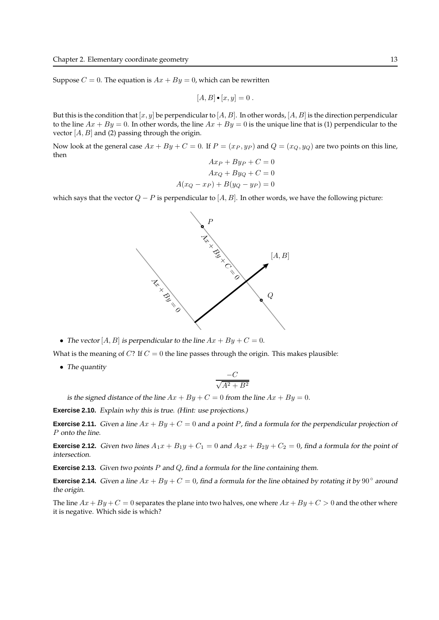Suppose  $C = 0$ . The equation is  $Ax + By = 0$ , which can be rewritten

$$
[A, B] \bullet [x, y] = 0
$$

But this is the condition that  $[x, y]$  be perpendicular to  $[A, B]$ . In other words,  $[A, B]$  is the direction perpendicular to the line  $Ax + By = 0$ . In other words, the line  $Ax + By = 0$  is the unique line that is (1) perpendicular to the vector  $[A, B]$  and (2) passing through the origin.

Now look at the general case  $Ax + By + C = 0$ . If  $P = (x_P, y_P)$  and  $Q = (x_Q, y_Q)$  are two points on this line, then  $A_x + B_y + C = 0$ 

$$
AxP + ByP + C = 0
$$

$$
AxQ + ByQ + C = 0
$$

$$
A(xQ - xp) + B(yQ - yp) = 0
$$

which says that the vector  $Q - P$  is perpendicular to [A, B]. In other words, we have the following picture:



• The vector [A, B] is perpendicular to the line  $Ax + By + C = 0$ .

What is the meaning of  $C$ ? If  $C = 0$  the line passes through the origin. This makes plausible:

• The quantity

$$
\frac{-C}{\sqrt{A^2 + B^2}}
$$

is the signed distance of the line  $Ax + By + C = 0$  from the line  $Ax + By = 0$ .

**Exercise 2.10.** Explain why this is true. (Hint: use projections.)

**Exercise 2.11.** Given a line  $Ax + By + C = 0$  and a point P, find a formula for the perpendicular projection of P onto the line.

**Exercise 2.12.** Given two lines  $A_1x + B_1y + C_1 = 0$  and  $A_2x + B_2y + C_2 = 0$ , find a formula for the point of intersection.

**Exercise 2.13.** Given two points P and Q, find a formula for the line containing them.

**Exercise 2.14.** Given a line  $Ax + By + C = 0$ , find a formula for the line obtained by rotating it by 90 $^{\circ}$  around the origin.

The line  $Ax + By + C = 0$  separates the plane into two halves, one where  $Ax + By + C > 0$  and the other where it is negative. Which side is which?